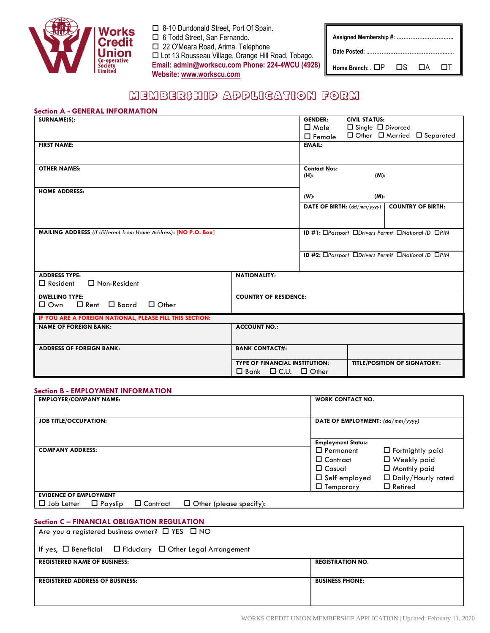

- 8-10 Dundonald Street, Port Of Spain.
- □ 6 Todd Street, San Fernando.
- 22 O'Meara Road, Arima. Telephone

 Lot 13 Rousseau Village, Orange Hill Road, Tobago. **Email: [admin@workscu.com](mailto:admin@workscu.com) Phone: 224-4WCU (4928) Website[: www.workscu.com](http://www.workscu.com/)**

| Home Branch: . $\Box P$ $\Box S$ $\Box A$ |  |  | - 171 |  |
|-------------------------------------------|--|--|-------|--|

# MEMBER3HIP APPLICATION FORM

# **Section A - GENERAL INFORMATION**

| SURNAME(S):                                                     |                                       | <b>GENDER:</b>                                     | <b>CIVIL STATUS:</b>          |                                                    |
|-----------------------------------------------------------------|---------------------------------------|----------------------------------------------------|-------------------------------|----------------------------------------------------|
|                                                                 |                                       | $\square$ Male                                     | $\Box$ Single $\Box$ Divorced |                                                    |
|                                                                 |                                       | $\square$ Female                                   |                               | □ Other □ Married □ Separated                      |
| <b>FIRST NAME:</b>                                              |                                       | <b>EMAIL:</b>                                      |                               |                                                    |
|                                                                 |                                       |                                                    |                               |                                                    |
| <b>OTHER NAMES:</b>                                             |                                       | <b>Contact Nos:</b>                                |                               |                                                    |
|                                                                 |                                       | $(H)$ :                                            | (M):                          |                                                    |
| <b>HOME ADDRESS:</b>                                            |                                       |                                                    |                               |                                                    |
|                                                                 |                                       | $(W)$ :                                            | (M):                          |                                                    |
|                                                                 |                                       | DATE OF BIRTH: (dd/mm/yyyy)                        |                               | <b>COUNTRY OF BIRTH:</b>                           |
|                                                                 |                                       |                                                    |                               |                                                    |
| MAILING ADDRESS (if different from Home Address): [NO P.O. Box] |                                       | ID #1: OPassport ODrivers Permit ONational ID OPIN |                               |                                                    |
|                                                                 |                                       |                                                    |                               |                                                    |
|                                                                 |                                       |                                                    |                               | ID #2: OPassport ODrivers Permit ONational ID OPIN |
|                                                                 |                                       |                                                    |                               |                                                    |
| <b>ADDRESS TYPE:</b>                                            | <b>NATIONALITY:</b>                   |                                                    |                               |                                                    |
| $\Box$ Resident<br>$\Box$ Non-Resident                          |                                       |                                                    |                               |                                                    |
| <b>DWELLING TYPE:</b>                                           | <b>COUNTRY OF RESIDENCE:</b>          |                                                    |                               |                                                    |
| $\Box$ Rent $\Box$ Board<br>$\Box$ Other<br>$\Box$ Own          |                                       |                                                    |                               |                                                    |
| IF YOU ARE A FOREIGN NATIONAL, PLEASE FILL THIS SECTION:        |                                       |                                                    |                               |                                                    |
| <b>NAME OF FOREIGN BANK:</b>                                    | <b>ACCOUNT NO.:</b>                   |                                                    |                               |                                                    |
|                                                                 |                                       |                                                    |                               |                                                    |
| <b>ADDRESS OF FOREIGN BANK:</b>                                 | <b>BANK CONTACT#:</b>                 |                                                    |                               |                                                    |
|                                                                 | <b>TYPE OF FINANCIAL INSTITUTION:</b> |                                                    |                               | <b>TITLE/POSITION OF SIGNATORY:</b>                |
|                                                                 | $\Box$ Bank $\Box$ C.U. $\Box$ Other  |                                                    |                               |                                                    |

# **Section B - EMPLOYMENT INFORMATION**

| <b>EMPLOYER/COMPANY NAME:</b> |                |                 |                                | <b>WORK CONTACT NO.</b>          |                         |
|-------------------------------|----------------|-----------------|--------------------------------|----------------------------------|-------------------------|
| <b>JOB TITLE/OCCUPATION:</b>  |                |                 |                                | DATE OF EMPLOYMENT: (dd/mm/yyyy) |                         |
|                               |                |                 |                                | <b>Employment Status:</b>        |                         |
| <b>COMPANY ADDRESS:</b>       |                |                 |                                | $\Box$ Permanent                 | $\Box$ Fortnightly paid |
|                               |                |                 |                                | $\Box$ Contract                  | □ Weekly paid           |
|                               |                |                 |                                | $\Box$ Casual                    | $\Box$ Monthly paid     |
|                               |                |                 |                                | $\Box$ Self employed             | □ Daily/Hourly rated    |
|                               |                |                 |                                | $\Box$ Temporary                 | $\Box$ Retired          |
| <b>EVIDENCE OF EMPLOYMENT</b> |                |                 |                                |                                  |                         |
| $\Box$ Job Letter             | $\Box$ Payslip | $\Box$ Contract | $\Box$ Other (please specify): |                                  |                         |

# **Section C – FINANCIAL OBLIGATION REGULATION**

| Are you a registered business owner? $\Box$ YES $\Box$ NO                 |  |  |  |  |
|---------------------------------------------------------------------------|--|--|--|--|
| If yes, $\Box$ Beneficial $\Box$ Fiduciary $\Box$ Other Legal Arrangement |  |  |  |  |
| <b>REGISTERED NAME OF BUSINESS:</b><br><b>REGISTRATION NO.</b>            |  |  |  |  |
| <b>BUSINESS PHONE:</b><br><b>REGISTERED ADDRESS OF BUSINESS:</b>          |  |  |  |  |
|                                                                           |  |  |  |  |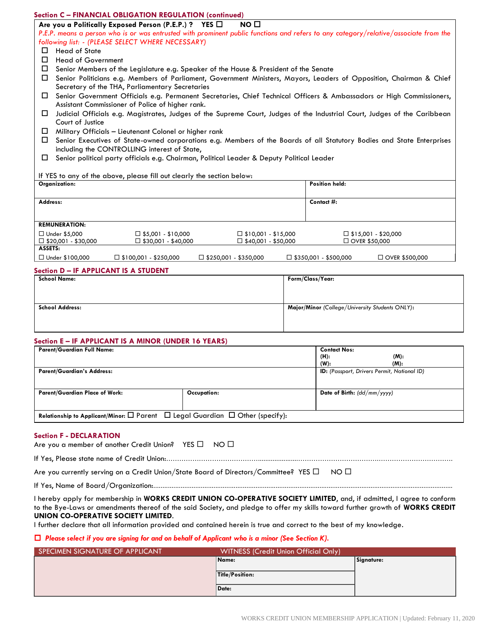### **Section C – FINANCIAL OBLIGATION REGULATION (continued)**

Are you a Politically Exposed Person (P.E.P.) ? YES □ NO □

*P.E.P. means a person who is or was entrusted with prominent public functions and refers to any category/relative/associate from the following list: - (PLEASE SELECT WHERE NECESSARY)*

- $\Box$  Head of State
- □ Head of Government
- $\square$  Senior Members of the Legislature e.g. Speaker of the House & President of the Senate
- Senior Politicians e.g. Members of Parliament, Government Ministers, Mayors, Leaders of Opposition, Chairman & Chief Secretary of the THA, Parliamentary Secretaries
- Senior Government Officials e.g. Permanent Secretaries, Chief Technical Officers & Ambassadors or High Commissioners, Assistant Commissioner of Police of higher rank.
- Judicial Officials e.g. Magistrates, Judges of the Supreme Court, Judges of the Industrial Court, Judges of the Caribbean Court of Justice
- $\Box$  Military Officials Lieutenant Colonel or higher rank
- Senior Executives of State-owned corporations e.g. Members of the Boards of all Statutory Bodies and State Enterprises including the CONTROLLING interest of State,
- Senior political party officials e.g. Chairman, Political Leader & Deputy Political Leader

#### If YES to any of the above, please fill out clearly the section below:

| Organization:                 |                                 |                                 | Position held:                  |                            |
|-------------------------------|---------------------------------|---------------------------------|---------------------------------|----------------------------|
|                               |                                 |                                 |                                 |                            |
| Address:                      |                                 |                                 | Contact #:                      |                            |
|                               |                                 |                                 |                                 |                            |
|                               |                                 |                                 |                                 |                            |
| <b>REMUNERATION:</b>          |                                 |                                 |                                 |                            |
| $\Box$ Under \$5,000          | $\square$ \$5,001 - \$10,000    | $\square$ \$10,001 - \$15,000   |                                 | $\Box$ \$15,001 - \$20,000 |
| $\square$ \$20,001 - \$30,000 | $\square$ \$30,001 - \$40,000   | $\Box$ \$40,001 - \$50,000      |                                 | $\Box$ OVER \$50,000       |
| ASSETS:                       |                                 |                                 |                                 |                            |
| $\Box$ Under \$100,000        | $\square$ \$100,001 - \$250,000 | $\square$ \$250,001 - \$350,000 | $\square$ \$350,001 - \$500,000 | □ OVER \$500,000           |

#### **Section D – IF APPLICANT IS A STUDENT**

| <b>School Name:</b>    | Form/Class/Year:                                |
|------------------------|-------------------------------------------------|
|                        |                                                 |
| <b>School Address:</b> | Major/Minor (College/University Students ONLY): |
|                        |                                                 |
|                        |                                                 |

#### **Section E – IF APPLICANT IS A MINOR (UNDER 16 YEARS)**

| <b>Parent/Guardian Full Name:</b>                                                                     |             | <b>Contact Nos:</b>                                |      |
|-------------------------------------------------------------------------------------------------------|-------------|----------------------------------------------------|------|
|                                                                                                       |             | (H):                                               | (M): |
|                                                                                                       |             | $(W)$ :                                            | (M): |
| <b>Parent/Guardian's Address:</b>                                                                     |             | <b>ID:</b> (Passport, Drivers Permit, National ID) |      |
| <b>Parent/Guardian Place of Work:</b>                                                                 | Occupation: | <b>Date of Birth:</b> $(dd/mm/yyy)$                |      |
| Relationship to Applicant/Minor: $\square$ Parent $\square$ Legal Guardian $\square$ Other (specify): |             |                                                    |      |

#### **Section F - DECLARATION**

| Are you a member of another Credit Union? YES □ NO □ |  |
|------------------------------------------------------|--|
|------------------------------------------------------|--|

If Yes, Please state name of Credit Union:……………………………………......................……………………………….…………………………….

Are you currently serving on a Credit Union/State Board of Directors/Committee? YES  $\Box$  NO  $\Box$ 

If Yes, Name of Board/Organization:....................................................................................................................................................................

I hereby apply for membership in **WORKS CREDIT UNION CO-OPERATIVE SOCIETY LIMITED**, and, if admitted, I agree to conform to the Bye-Laws or amendments thereof of the said Society, and pledge to offer my skills toward further growth of **WORKS CREDIT UNION CO-OPERATIVE SOCIETY LIMITED**.

I further declare that all information provided and contained herein is true and correct to the best of my knowledge.

#### *Please select if you are signing for and on behalf of Applicant who is a minor (See Section K).*

| SPECIMEN SIGNATURE OF APPLICANT | <b>WITNESS (Credit Union Official Only)</b> |            |
|---------------------------------|---------------------------------------------|------------|
|                                 | Name:                                       | Signature: |
|                                 | Title/Position:                             |            |
|                                 | Date:                                       |            |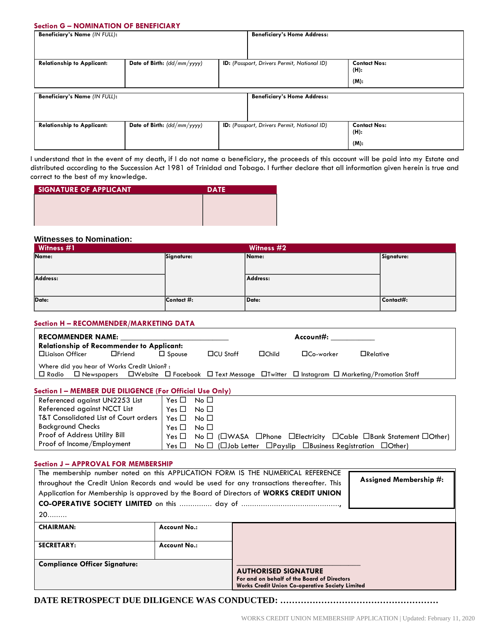# **Section G – NOMINATION OF BENEFICIARY**

| Beneficiary's Name (IN FULL):     |                               | <b>Beneficiary's Home Address:</b>                 |                             |
|-----------------------------------|-------------------------------|----------------------------------------------------|-----------------------------|
|                                   |                               |                                                    |                             |
| <b>Relationship to Applicant:</b> | Date of Birth: $(dd/mm/yyyy)$ | <b>ID:</b> (Passport, Drivers Permit, National ID) | <b>Contact Nos:</b><br>(H): |
|                                   |                               |                                                    | $(M)$ :                     |
| Beneficiary's Name (IN FULL):     |                               | <b>Beneficiary's Home Address:</b>                 |                             |
| <b>Relationship to Applicant:</b> | Date of Birth: (dd/mm/yyyy)   | <b>ID:</b> (Passport, Drivers Permit, National ID) | <b>Contact Nos:</b><br>(H): |
|                                   |                               |                                                    | $(M)$ :                     |

I understand that in the event of my death, if I do not name a beneficiary, the proceeds of this account will be paid into my Estate and distributed according to the Succession Act 1981 of Trinidad and Tobago. I further declare that all information given herein is true and correct to the best of my knowledge.

| <b>SIGNATURE OF APPLICANT</b> | <b>DATE</b> |
|-------------------------------|-------------|
|                               |             |
|                               |             |
|                               |             |

# **Witnesses to Nomination:**

| Witness #1 |            | Witness #2 |            |
|------------|------------|------------|------------|
| Name:      | Signature: | Name:      | Signature: |
| Address:   |            | Address:   |            |
| Date:      | Contact #: | Date:      | Contact#:  |

# **Section H – RECOMMENDER/MARKETING DATA**

| <b>RECOMMENDER NAME:</b><br><b>Relationship of Recommender to Applicant:</b>                                                                                                                           |               |               |                 | Account#: www.com |                  |                 |
|--------------------------------------------------------------------------------------------------------------------------------------------------------------------------------------------------------|---------------|---------------|-----------------|-------------------|------------------|-----------------|
| □Liaison Officer                                                                                                                                                                                       | $\Box$ Friend | $\Box$ Spouse | $\Box$ CU Staff | $\Box$ Child      | $\Box$ Co-worker | $\Box$ Relative |
| Where did you hear of Works Credit Union?:<br>$\Box$ Newspapers $\Box$ Website $\Box$ Facebook $\Box$ Text Message $\Box$ Twitter $\Box$ Instagram $\Box$ Marketing/Promotion Staff<br>$\square$ Radio |               |               |                 |                   |                  |                 |

# **Section I – MEMBER DUE DILIGENCE (For Official Use Only)**

| Referenced against UN2253 List                   | $Yes \Box No \Box$ |                                                                                                                     |
|--------------------------------------------------|--------------------|---------------------------------------------------------------------------------------------------------------------|
| Referenced against NCCT List                     | $Yes \Box No \Box$ |                                                                                                                     |
| <b>T&amp;T Consolidated List of Court orders</b> | $Yes \Box No \Box$ |                                                                                                                     |
| <b>Background Checks</b>                         | $Yes \Box No \Box$ |                                                                                                                     |
| Proof of Address Utility Bill                    |                    | Yes $\Box$ No $\Box$ ( $\Box$ WASA $\Box$ Phone $\Box$ Electricity $\Box$ Cable $\Box$ Bank Statement $\Box$ Other) |
| Proof of Income/Employment                       | Yes $\Box$         | $No \Box$ ( $\square$ Job Letter $\square$ Payslip $\square$ Business Registration $\square$ Other)                 |

#### **Section J – APPROVAL FOR MEMBERSHIP**

| The membership number noted on this APPLICATION FORM IS THE NUMERICAL REFERENCE<br>throughout the Credit Union Records and would be used for any transactions thereafter. This<br>Application for Membership is approved by the Board of Directors of WORKS CREDIT UNION |                     |                                                                                                                                      | Assigned Membership #: |  |
|--------------------------------------------------------------------------------------------------------------------------------------------------------------------------------------------------------------------------------------------------------------------------|---------------------|--------------------------------------------------------------------------------------------------------------------------------------|------------------------|--|
| $20$                                                                                                                                                                                                                                                                     |                     |                                                                                                                                      |                        |  |
| <b>CHAIRMAN:</b>                                                                                                                                                                                                                                                         | <b>Account No.:</b> |                                                                                                                                      |                        |  |
| <b>SECRETARY:</b>                                                                                                                                                                                                                                                        | <b>Account No.:</b> |                                                                                                                                      |                        |  |
| <b>Compliance Officer Signature:</b>                                                                                                                                                                                                                                     |                     | <b>AUTHORISED SIGNATURE</b><br>For and on behalf of the Board of Directors<br><b>Works Credit Union Co-operative Society Limited</b> |                        |  |

**DATE RETROSPECT DUE DILIGENCE WAS CONDUCTED: ………………………………………………**